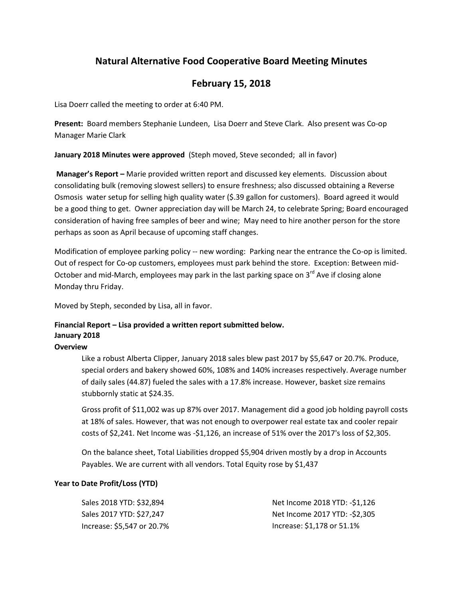# **Natural Alternative Food Cooperative Board Meeting Minutes**

## **February 15, 2018**

Lisa Doerr called the meeting to order at 6:40 PM.

**Present:** Board members Stephanie Lundeen, Lisa Doerr and Steve Clark. Also present was Co-op Manager Marie Clark

**January 2018 Minutes were approved** (Steph moved, Steve seconded; all in favor)

**Manager's Report –** Marie provided written report and discussed key elements. Discussion about consolidating bulk (removing slowest sellers) to ensure freshness; also discussed obtaining a Reverse Osmosis water setup for selling high quality water (\$.39 gallon for customers). Board agreed it would be a good thing to get. Owner appreciation day will be March 24, to celebrate Spring; Board encouraged consideration of having free samples of beer and wine; May need to hire another person for the store perhaps as soon as April because of upcoming staff changes.

Modification of employee parking policy -- new wording: Parking near the entrance the Co-op is limited. Out of respect for Co-op customers, employees must park behind the store. Exception: Between mid-October and mid-March, employees may park in the last parking space on  $3^{rd}$  Ave if closing alone Monday thru Friday.

Moved by Steph, seconded by Lisa, all in favor.

### **Financial Report – Lisa provided a written report submitted below. January 2018**

#### **Overview**

Like a robust Alberta Clipper, January 2018 sales blew past 2017 by \$5,647 or 20.7%. Produce, special orders and bakery showed 60%, 108% and 140% increases respectively. Average number of daily sales (44.87) fueled the sales with a 17.8% increase. However, basket size remains stubbornly static at \$24.35.

Gross profit of \$11,002 was up 87% over 2017. Management did a good job holding payroll costs at 18% of sales. However, that was not enough to overpower real estate tax and cooler repair costs of \$2,241. Net Income was -\$1,126, an increase of 51% over the 2017's loss of \$2,305.

On the balance sheet, Total Liabilities dropped \$5,904 driven mostly by a drop in Accounts Payables. We are current with all vendors. Total Equity rose by \$1,437

### **Year to Date Profit/Loss (YTD)**

Sales 2018 YTD: \$32,894 Sales 2017 YTD: \$27,247 Increase: \$5,547 or 20.7%

Net Income 2018 YTD: -\$1,126 Net Income 2017 YTD: -\$2,305 Increase: \$1,178 or 51.1%